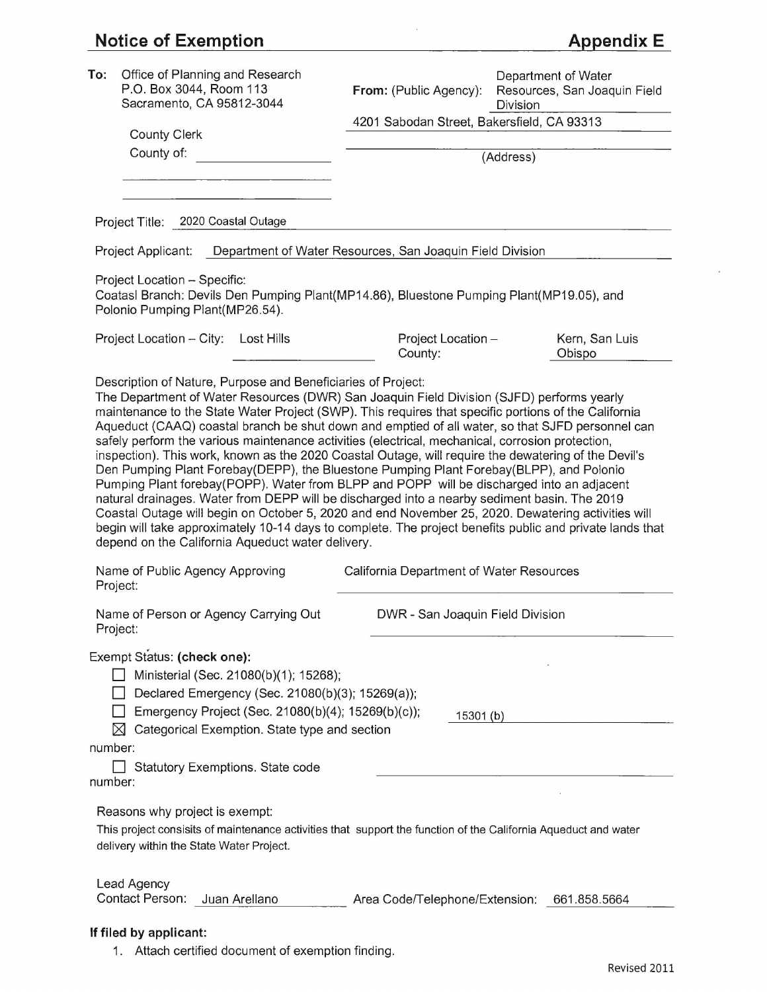## **Notice of Exemption**

| To:                            | Office of Planning and Research<br>P.O. Box 3044, Room 113<br>Sacramento, CA 95812-3044                                                                                                                                                                                                                                                                                                                                                                                                                                                                                                                                                                                                                                                                                                                                                                                                                                                                                                                                                                                                                                                                                             | From: (Public Agency):                                    | Department of Water<br>Resources, San Joaquin Field<br>Division |
|--------------------------------|-------------------------------------------------------------------------------------------------------------------------------------------------------------------------------------------------------------------------------------------------------------------------------------------------------------------------------------------------------------------------------------------------------------------------------------------------------------------------------------------------------------------------------------------------------------------------------------------------------------------------------------------------------------------------------------------------------------------------------------------------------------------------------------------------------------------------------------------------------------------------------------------------------------------------------------------------------------------------------------------------------------------------------------------------------------------------------------------------------------------------------------------------------------------------------------|-----------------------------------------------------------|-----------------------------------------------------------------|
|                                | <b>County Clerk</b>                                                                                                                                                                                                                                                                                                                                                                                                                                                                                                                                                                                                                                                                                                                                                                                                                                                                                                                                                                                                                                                                                                                                                                 | 4201 Sabodan Street, Bakersfield, CA 93313                |                                                                 |
| County of:                     |                                                                                                                                                                                                                                                                                                                                                                                                                                                                                                                                                                                                                                                                                                                                                                                                                                                                                                                                                                                                                                                                                                                                                                                     | (Address)                                                 |                                                                 |
|                                |                                                                                                                                                                                                                                                                                                                                                                                                                                                                                                                                                                                                                                                                                                                                                                                                                                                                                                                                                                                                                                                                                                                                                                                     |                                                           |                                                                 |
|                                | Project Title: 2020 Coastal Outage                                                                                                                                                                                                                                                                                                                                                                                                                                                                                                                                                                                                                                                                                                                                                                                                                                                                                                                                                                                                                                                                                                                                                  |                                                           |                                                                 |
| Project Applicant:             |                                                                                                                                                                                                                                                                                                                                                                                                                                                                                                                                                                                                                                                                                                                                                                                                                                                                                                                                                                                                                                                                                                                                                                                     | Department of Water Resources, San Joaquin Field Division |                                                                 |
|                                | Project Location - Specific:<br>Coatasl Branch: Devils Den Pumping Plant(MP14.86), Bluestone Pumping Plant(MP19.05), and<br>Polonio Pumping Plant(MP26.54).                                                                                                                                                                                                                                                                                                                                                                                                                                                                                                                                                                                                                                                                                                                                                                                                                                                                                                                                                                                                                         |                                                           |                                                                 |
|                                | Project Location - City: Lost Hills                                                                                                                                                                                                                                                                                                                                                                                                                                                                                                                                                                                                                                                                                                                                                                                                                                                                                                                                                                                                                                                                                                                                                 | Project Location -<br>County:                             | Kern, San Luis<br>Obispo                                        |
|                                | Description of Nature, Purpose and Beneficiaries of Project:<br>The Department of Water Resources (DWR) San Joaquin Field Division (SJFD) performs yearly<br>maintenance to the State Water Project (SWP). This requires that specific portions of the California<br>Aqueduct (CAAQ) coastal branch be shut down and emptied of all water, so that SJFD personnel can<br>safely perform the various maintenance activities (electrical, mechanical, corrosion protection,<br>inspection). This work, known as the 2020 Coastal Outage, will require the dewatering of the Devil's<br>Den Pumping Plant Forebay(DEPP), the Bluestone Pumping Plant Forebay(BLPP), and Polonio<br>Pumping Plant forebay(POPP). Water from BLPP and POPP will be discharged into an adjacent<br>natural drainages. Water from DEPP will be discharged into a nearby sediment basin. The 2019<br>Coastal Outage will begin on October 5, 2020 and end November 25, 2020. Dewatering activities will<br>begin will take approximately 10-14 days to complete. The project benefits public and private lands that<br>depend on the California Aqueduct water delivery.<br>Name of Public Agency Approving | California Department of Water Resources                  |                                                                 |
| Project:                       | Name of Person or Agency Carrying Out                                                                                                                                                                                                                                                                                                                                                                                                                                                                                                                                                                                                                                                                                                                                                                                                                                                                                                                                                                                                                                                                                                                                               | DWR - San Joaquin Field Division                          |                                                                 |
| Project:                       |                                                                                                                                                                                                                                                                                                                                                                                                                                                                                                                                                                                                                                                                                                                                                                                                                                                                                                                                                                                                                                                                                                                                                                                     |                                                           |                                                                 |
| number:                        | Exempt Status: (check one):<br>Ministerial (Sec. 21080(b)(1); 15268);<br>Declared Emergency (Sec. 21080(b)(3); 15269(a));<br>Emergency Project (Sec. 21080(b)(4); 15269(b)(c));<br>Categorical Exemption. State type and section                                                                                                                                                                                                                                                                                                                                                                                                                                                                                                                                                                                                                                                                                                                                                                                                                                                                                                                                                    | 15301(b)                                                  |                                                                 |
| number:                        | Statutory Exemptions. State code                                                                                                                                                                                                                                                                                                                                                                                                                                                                                                                                                                                                                                                                                                                                                                                                                                                                                                                                                                                                                                                                                                                                                    |                                                           |                                                                 |
|                                | Reasons why project is exempt:<br>This project consisits of maintenance activities that support the function of the California Aqueduct and water<br>delivery within the State Water Project.                                                                                                                                                                                                                                                                                                                                                                                                                                                                                                                                                                                                                                                                                                                                                                                                                                                                                                                                                                                       |                                                           |                                                                 |
| Lead Agency<br>Contact Person: | Juan Arellano                                                                                                                                                                                                                                                                                                                                                                                                                                                                                                                                                                                                                                                                                                                                                                                                                                                                                                                                                                                                                                                                                                                                                                       | Area Code/Telephone/Extension: 661.858.5664               |                                                                 |
| If filed by applicant:         |                                                                                                                                                                                                                                                                                                                                                                                                                                                                                                                                                                                                                                                                                                                                                                                                                                                                                                                                                                                                                                                                                                                                                                                     |                                                           |                                                                 |

1. Attach certified document of exemption finding.